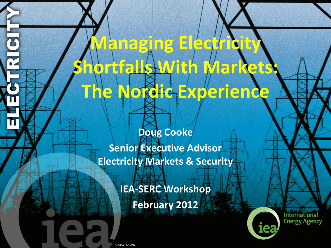**Doug Cooke Senior Executive Advisor Electricity Markets & Security** 

**Managing Electricity** 

The Nordic Experience

**Shortfalls With Markets:**

**IEA-SERC Workshop February 2012**



**International Energy Agency**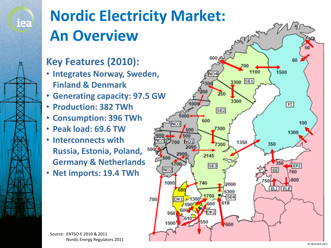

#### **Nordic Electricity Market: An Overview**

#### **Key Features (2010):**

- **Integrates Norway, Sweden, Finland & Denmark**
- **Generating capacity: 97.5 GW**
- **Production: 382 TWh**
- **Consumption: 396 TWh**
- **Peak load: 69.6 TW**
- **Interconnects with Russia, Estonia, Poland, Germany & Netherlands**
- **Net imports: 19.4 TWh**



Source: ENTSO-E 2010 & 2011 Nordic Energy Regulators 2011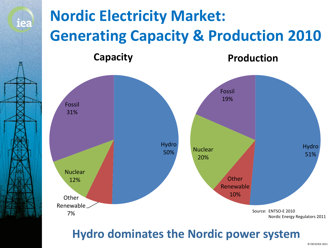

#### **Hydro dominates the Nordic power system**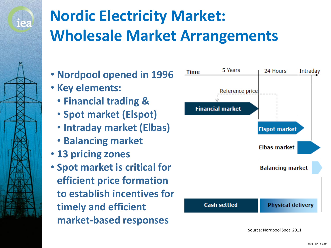

# **Nordic Electricity Market: Wholesale Market Arrangements**

- **Nordpool opened in 1996**
- **Key elements:**
	- **Financial trading &**
	- **Spot market (Elspot)**
	- **Intraday market (Elbas)**
	- **Balancing market**
- **13 pricing zones**
- **Spot market is critical for efficient price formation to establish incentives for timely and efficient market-based responses**



Source: Nordpool Spot 2011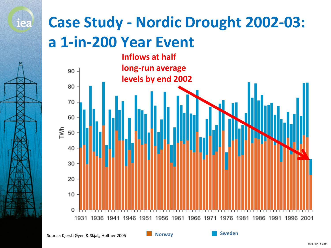#### **Case Study - Nordic Drought 2002-03: a 1-in-200 Year Event**

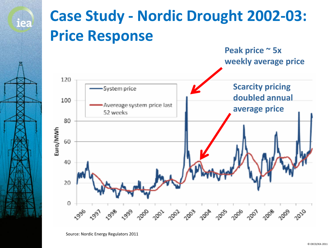

Source: Nordic Energy Regulators 2011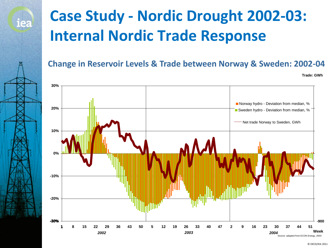# **Case Study - Nordic Drought 2002-03: Internal Nordic Trade Response**

iea

**Change in Reservoir Levels & Trade between Norway & Sweden: 2002-04**

**Trade: GWh**

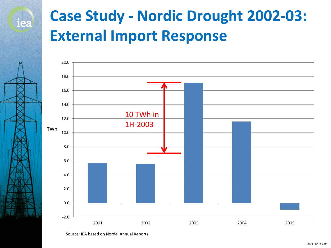### **Case Study - Nordic Drought 2002-03: External Import Response**



Source: IEA based on Nordel Annual Reports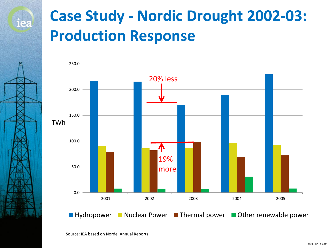### **Case Study - Nordic Drought 2002-03: Production Response**

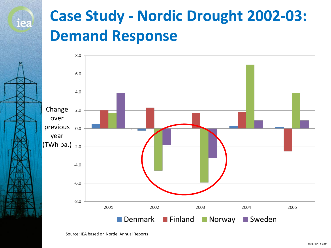#### **Case Study - Nordic Drought 2002-03: Demand Response**



Source: IEA based on Nordel Annual Reports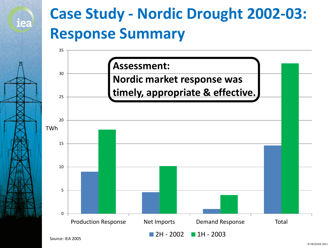#### **Case Study - Nordic Drought 2002-03: Response Summary**

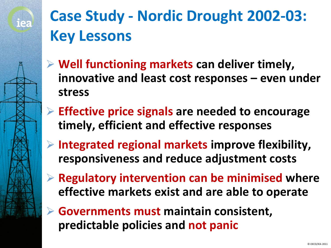

# **Case Study - Nordic Drought 2002-03: Key Lessons**

- **Well functioning markets can deliver timely, innovative and least cost responses – even under stress**
- **Effective price signals are needed to encourage timely, efficient and effective responses**
- **Integrated regional markets improve flexibility, responsiveness and reduce adjustment costs**
- **Regulatory intervention can be minimised where effective markets exist and are able to operate**
- **Governments must maintain consistent, predictable policies and not panic**